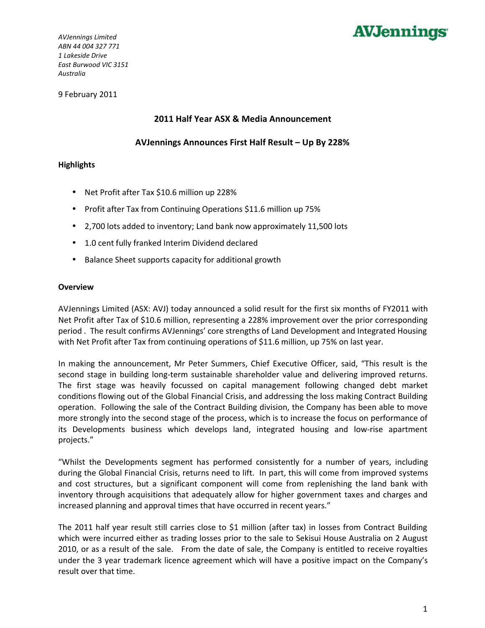

*AVJennings Limited ABN 44 004 327 771 1 Lakeside Drive East Burwood VIC 3151 Australia*

9 February 2011

#### **2011 Half Year ASX & Media Announcement**

**AVJennings Announces First Half Result – Up By 228%**

#### **Highlights**

- Net Profit after Tax \$10.6 million up 228%
- Profit after Tax from Continuing Operations \$11.6 million up 75%
- 2,700 lots added to inventory; Land bank now approximately 11,500 lots
- 1.0 cent fully franked Interim Dividend declared
- Balance Sheet supports capacity for additional growth

#### **Overview**

AVJennings Limited (ASX: AVJ) today announced a solid result for the first six months of FY2011 with Net Profit after Tax of \$10.6 million, representing a 228% improvement over the prior corresponding period . The result confirms AVJennings' core strengths of Land Development and Integrated Housing with Net Profit after Tax from continuing operations of \$11.6 million, up 75% on last year.

In making the announcement, Mr Peter Summers, Chief Executive Officer, said, "This result is the second stage in building long-term sustainable shareholder value and delivering improved returns. The first stage was heavily focussed on capital management following changed debt market conditions flowing out of the Global Financial Crisis, and addressing the loss making Contract Building operation. Following the sale of the Contract Building division, the Company has been able to move more strongly into the second stage of the process, which is to increase the focus on performance of its Developments business which develops land, integrated housing and low-rise apartment projects."

"Whilst the Developments segment has performed consistently for a number of years, including during the Global Financial Crisis, returns need to lift. In part, this will come from improved systems and cost structures, but a significant component will come from replenishing the land bank with inventory through acquisitions that adequately allow for higher government taxes and charges and increased planning and approval times that have occurred in recent years."

The 2011 half year result still carries close to \$1 million (after tax) in losses from Contract Building which were incurred either as trading losses prior to the sale to Sekisui House Australia on 2 August 2010, or as a result of the sale. From the date of sale, the Company is entitled to receive royalties under the 3 year trademark licence agreement which will have a positive impact on the Company's result over that time.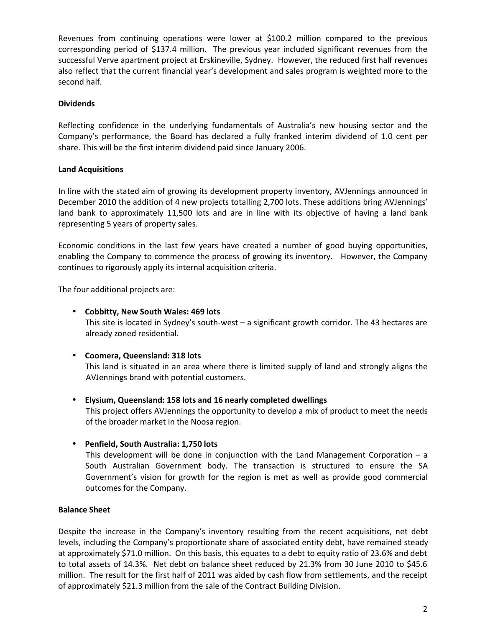Revenues from continuing operations were lower at \$100.2 million compared to the previous corresponding period of \$137.4 million. The previous year included significant revenues from the successful Verve apartment project at Erskineville, Sydney. However, the reduced first half revenues also reflect that the current financial year's development and sales program is weighted more to the second half.

## **Dividends**

Reflecting confidence in the underlying fundamentals of Australia's new housing sector and the Company's performance, the Board has declared a fully franked interim dividend of 1.0 cent per share. This will be the first interim dividend paid since January 2006.

## **Land Acquisitions**

In line with the stated aim of growing its development property inventory, AVJennings announced in December 2010 the addition of 4 new projects totalling 2,700 lots. These additions bring AVJennings' land bank to approximately 11,500 lots and are in line with its objective of having a land bank representing 5 years of property sales.

Economic conditions in the last few years have created a number of good buying opportunities, enabling the Company to commence the process of growing its inventory. However, the Company continues to rigorously apply its internal acquisition criteria.

The four additional projects are:

## • **Cobbitty, New South Wales: 469 lots**

This site is located in Sydney's south-west – a significant growth corridor. The 43 hectares are already zoned residential.

# • **Coomera, Queensland: 318 lots**

This land is situated in an area where there is limited supply of land and strongly aligns the AVJennings brand with potential customers.

• **Elysium, Queensland: 158 lots and 16 nearly completed dwellings** 

This project offers AVJennings the opportunity to develop a mix of product to meet the needs of the broader market in the Noosa region.

• **Penfield, South Australia: 1,750 lots** 

This development will be done in conjunction with the Land Management Corporation  $- a$ South Australian Government body. The transaction is structured to ensure the SA Government's vision for growth for the region is met as well as provide good commercial outcomes for the Company.

### **Balance Sheet**

Despite the increase in the Company's inventory resulting from the recent acquisitions, net debt levels, including the Company's proportionate share of associated entity debt, have remained steady at approximately \$71.0 million. On this basis, this equates to a debt to equity ratio of 23.6% and debt to total assets of 14.3%. Net debt on balance sheet reduced by 21.3% from 30 June 2010 to \$45.6 million. The result for the first half of 2011 was aided by cash flow from settlements, and the receipt of approximately \$21.3 million from the sale of the Contract Building Division.